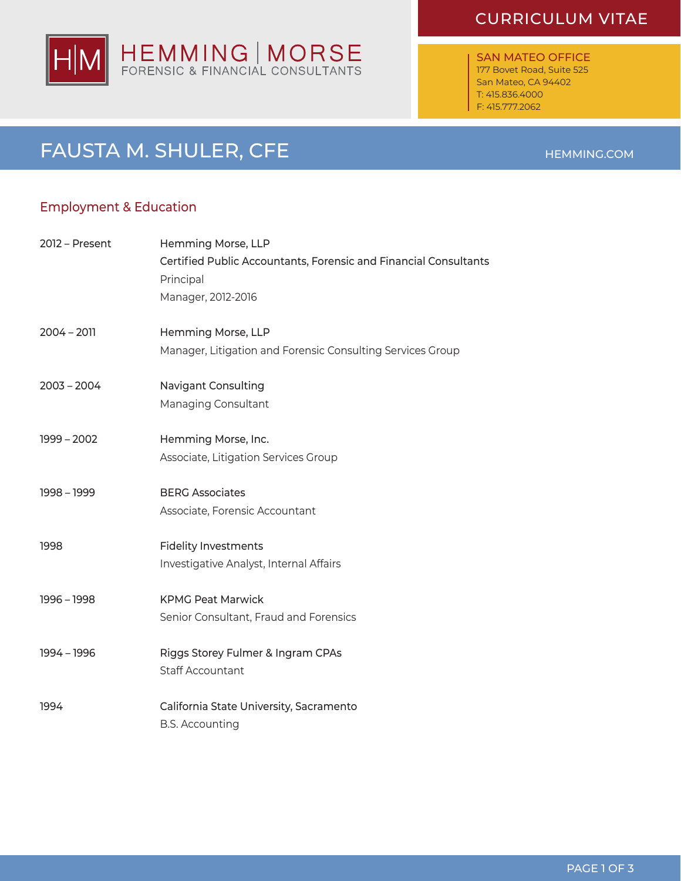# CURRICULUM VITAE



### SAN MATEO OFFICE 177 Bovet Road, Suite 525 San Mateo, CA 94402 T: 415.836.4000 F: 415.777.2062

# PAGE 1 OF 3

# FAUSTA M. SHULER, CFE HEMMING.COM

# Employment & Education

| 2012 – Present | Hemming Morse, LLP<br>Certified Public Accountants, Forensic and Financial Consultants<br>Principal<br>Manager, 2012-2016 |
|----------------|---------------------------------------------------------------------------------------------------------------------------|
| $2004 - 2011$  | Hemming Morse, LLP<br>Manager, Litigation and Forensic Consulting Services Group                                          |
| $2003 - 2004$  | <b>Navigant Consulting</b><br>Managing Consultant                                                                         |
| $1999 - 2002$  | Hemming Morse, Inc.<br>Associate, Litigation Services Group                                                               |
| 1998 - 1999    | <b>BERG Associates</b><br>Associate, Forensic Accountant                                                                  |
| 1998           | <b>Fidelity Investments</b><br>Investigative Analyst, Internal Affairs                                                    |
| 1996 - 1998    | <b>KPMG Peat Marwick</b><br>Senior Consultant, Fraud and Forensics                                                        |
| 1994 - 1996    | Riggs Storey Fulmer & Ingram CPAs<br><b>Staff Accountant</b>                                                              |
| 1994           | California State University, Sacramento<br><b>B.S. Accounting</b>                                                         |
|                |                                                                                                                           |

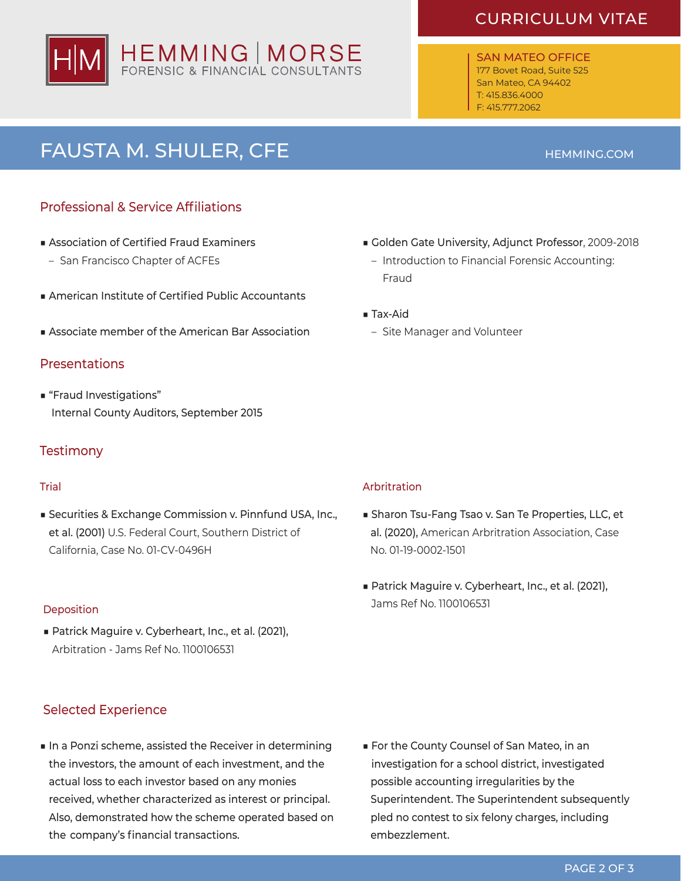# HEMMING | MORSE

# CURRICULUM VITAE

SAN MATEO OFFICE 177 Bovet Road, Suite 525 San Mateo, CA 94402 T: 415.836.4000 F: 415.777.2062

# FAUSTA M. SHULER, CFE **HEMMING.COM**

# Professional & Service Affiliations

- Association of Certified Fraud Examiners
	- San Francisco Chapter of ACFEs
- American Institute of Certified Public Accountants
- Associate member of the American Bar Association

### **Presentations**

■ "Fraud Investigations" Internal County Auditors, September 2015

### **Testimony**

■ Securities & Exchange Commission v. Pinnfund USA, Inc., et al. (2001) U.S. Federal Court, Southern District of California, Case No. 01-CV-0496H

■ Patrick Maguire v. Cyberheart, Inc., et al. (2021), Arbitration - Jams Ref No. 1100106531

## Selected Experience

■ In a Ponzi scheme, assisted the Receiver in determining the investors, the amount of each investment, and the actual loss to each investor based on any monies received, whether characterized as interest or principal. Also, demonstrated how the scheme operated based on the company's financial transactions.

- Golden Gate University, Adjunct Professor, 2009-2018
	- Introduction to Financial Forensic Accounting: Fraud
- Tax-Aid
	- Site Manager and Volunteer

### **Trial** Arbritration **Trial** Arbritration **Arbritration**

- Sharon Tsu-Fang Tsao v. San Te Properties, LLC, et al. (2020), American Arbritration Association, Case No. 01-19-0002-1501
- Patrick Maguire v. Cyberheart, Inc., et al. (2021), Jams Ref No. 1100106531 Deposition

■ For the County Counsel of San Mateo, in an investigation for a school district, investigated possible accounting irregularities by the Superintendent. The Superintendent subsequently pled no contest to six felony charges, including embezzlement.